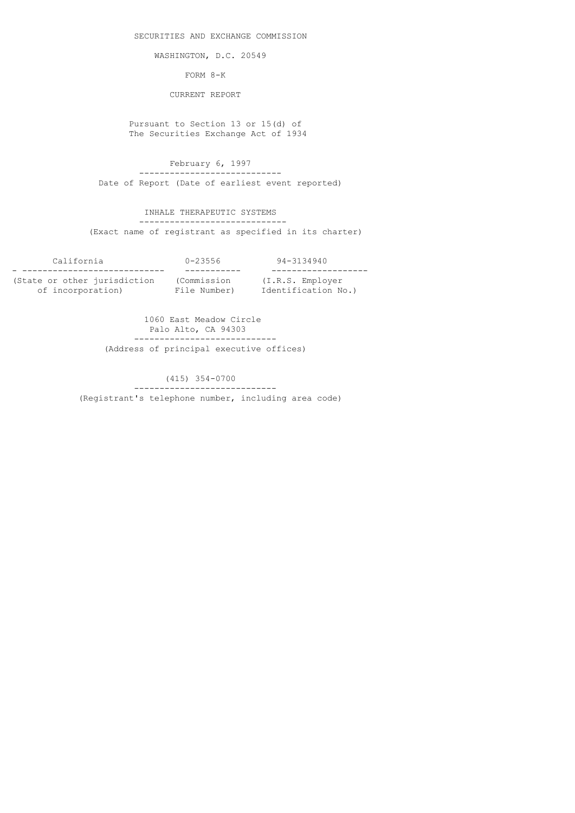SECURITIES AND EXCHANGE COMMISSION

WASHINGTON, D.C. 20549

FORM 8-K

CURRENT REPORT

 Pursuant to Section 13 or 15(d) of The Securities Exchange Act of 1934

 February 6, 1997 ---------------------------- Date of Report (Date of earliest event reported)

 INHALE THERAPEUTIC SYSTEMS ----------------------------- (Exact name of registrant as specified in its charter)

| California                   | $0 - 23556$  | 94-3134940          |
|------------------------------|--------------|---------------------|
|                              |              |                     |
| (State or other jurisdiction | (Commission  | (I.R.S. Emplover    |
| of incorporation)            | File Number) | Identification No.) |

 1060 East Meadow Circle Palo Alto, CA 94303 ---------------------------- (Address of principal executive offices)

> (415) 354-0700 ---------------------------- (Registrant's telephone number, including area code)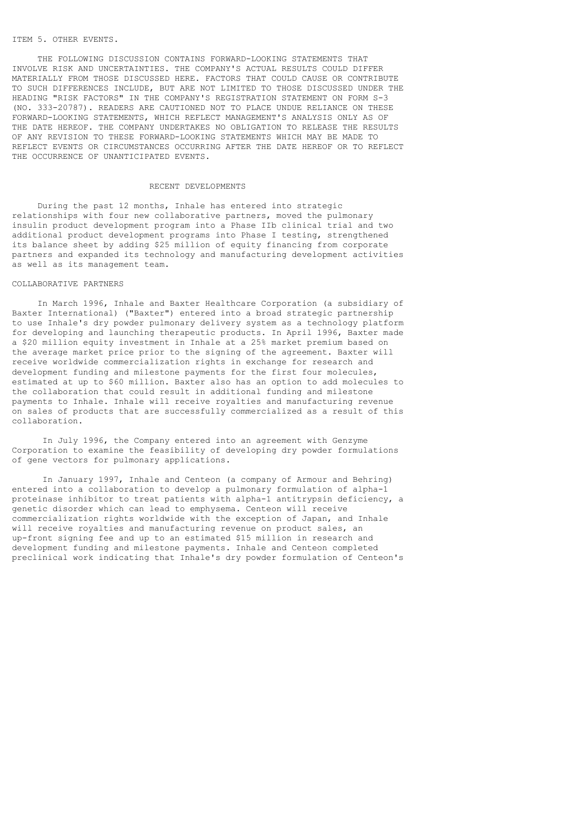## ITEM 5. OTHER EVENTS.

 THE FOLLOWING DISCUSSION CONTAINS FORWARD-LOOKING STATEMENTS THAT INVOLVE RISK AND UNCERTAINTIES. THE COMPANY'S ACTUAL RESULTS COULD DIFFER MATERIALLY FROM THOSE DISCUSSED HERE. FACTORS THAT COULD CAUSE OR CONTRIBUTE TO SUCH DIFFERENCES INCLUDE, BUT ARE NOT LIMITED TO THOSE DISCUSSED UNDER THE HEADING "RISK FACTORS" IN THE COMPANY'S REGISTRATION STATEMENT ON FORM S-3 (NO. 333-20787). READERS ARE CAUTIONED NOT TO PLACE UNDUE RELIANCE ON THESE FORWARD-LOOKING STATEMENTS, WHICH REFLECT MANAGEMENT'S ANALYSIS ONLY AS OF THE DATE HEREOF. THE COMPANY UNDERTAKES NO OBLIGATION TO RELEASE THE RESULTS OF ANY REVISION TO THESE FORWARD-LOOKING STATEMENTS WHICH MAY BE MADE TO REFLECT EVENTS OR CIRCUMSTANCES OCCURRING AFTER THE DATE HEREOF OR TO REFLECT THE OCCURRENCE OF UNANTICIPATED EVENTS.

#### RECENT DEVELOPMENTS

 During the past 12 months, Inhale has entered into strategic relationships with four new collaborative partners, moved the pulmonary insulin product development program into a Phase IIb clinical trial and two additional product development programs into Phase I testing, strengthened its balance sheet by adding \$25 million of equity financing from corporate partners and expanded its technology and manufacturing development activities as well as its management team.

#### COLLABORATIVE PARTNERS

 In March 1996, Inhale and Baxter Healthcare Corporation (a subsidiary of Baxter International) ("Baxter") entered into a broad strategic partnership to use Inhale's dry powder pulmonary delivery system as a technology platform for developing and launching therapeutic products. In April 1996, Baxter made a \$20 million equity investment in Inhale at a 25% market premium based on the average market price prior to the signing of the agreement. Baxter will receive worldwide commercialization rights in exchange for research and development funding and milestone payments for the first four molecules, estimated at up to \$60 million. Baxter also has an option to add molecules to the collaboration that could result in additional funding and milestone payments to Inhale. Inhale will receive royalties and manufacturing revenue on sales of products that are successfully commercialized as a result of this collaboration.

 In July 1996, the Company entered into an agreement with Genzyme Corporation to examine the feasibility of developing dry powder formulations of gene vectors for pulmonary applications.

 In January 1997, Inhale and Centeon (a company of Armour and Behring) entered into a collaboration to develop a pulmonary formulation of alpha-1 proteinase inhibitor to treat patients with alpha-1 antitrypsin deficiency, a genetic disorder which can lead to emphysema. Centeon will receive commercialization rights worldwide with the exception of Japan, and Inhale will receive royalties and manufacturing revenue on product sales, an up-front signing fee and up to an estimated \$15 million in research and development funding and milestone payments. Inhale and Centeon completed preclinical work indicating that Inhale's dry powder formulation of Centeon's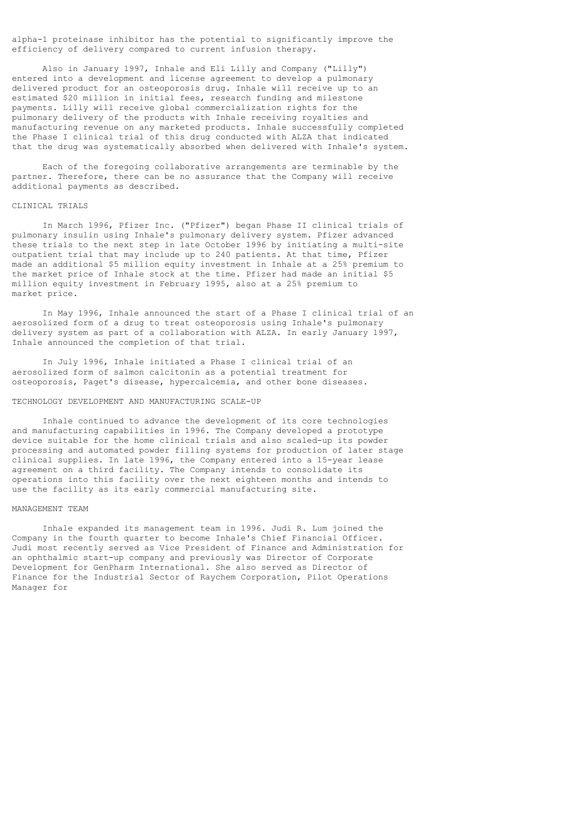alpha-1 proteinase inhibitor has the potential to significantly improve the efficiency of delivery compared to current infusion therapy.

 Also in January 1997, Inhale and Eli Lilly and Company ("Lilly") entered into a development and license agreement to develop a pulmonary delivered product for an osteoporosis drug. Inhale will receive up to an estimated \$20 million in initial fees, research funding and milestone payments. Lilly will receive global commercialization rights for the pulmonary delivery of the products with Inhale receiving royalties and manufacturing revenue on any marketed products. Inhale successfully completed the Phase I clinical trial of this drug conducted with ALZA that indicated that the drug was systematically absorbed when delivered with Inhale's system.

 Each of the foregoing collaborative arrangements are terminable by the partner. Therefore, there can be no assurance that the Company will receive additional payments as described.

### CLINICAL TRIALS

 In March 1996, Pfizer Inc. ("Pfizer") began Phase II clinical trials of pulmonary insulin using Inhale's pulmonary delivery system. Pfizer advanced these trials to the next step in late October 1996 by initiating a multi-site outpatient trial that may include up to 240 patients. At that time, Pfizer made an additional \$5 million equity investment in Inhale at a 25% premium to the market price of Inhale stock at the time. Pfizer had made an initial \$5 million equity investment in February 1995, also at a 25% premium to market price.

 In May 1996, Inhale announced the start of a Phase I clinical trial of an aerosolized form of a drug to treat osteoporosis using Inhale's pulmonary delivery system as part of a collaboration with ALZA. In early January 1997, Inhale announced the completion of that trial.

 In July 1996, Inhale initiated a Phase I clinical trial of an aerosolized form of salmon calcitonin as a potential treatment for osteoporosis, Paget's disease, hypercalcemia, and other bone diseases.

### TECHNOLOGY DEVELOPMENT AND MANUFACTURING SCALE-UP

 Inhale continued to advance the development of its core technologies and manufacturing capabilities in 1996. The Company developed a prototype device suitable for the home clinical trials and also scaled-up its powder processing and automated powder filling systems for production of later stage clinical supplies. In late 1996, the Company entered into a 15-year lease agreement on a third facility. The Company intends to consolidate its operations into this facility over the next eighteen months and intends to use the facility as its early commercial manufacturing site.

#### MANAGEMENT TEAM

 Inhale expanded its management team in 1996. Judi R. Lum joined the Company in the fourth quarter to become Inhale's Chief Financial Officer. Judi most recently served as Vice President of Finance and Administration for an ophthalmic start-up company and previously was Director of Corporate Development for GenPharm International. She also served as Director of Finance for the Industrial Sector of Raychem Corporation, Pilot Operations Manager for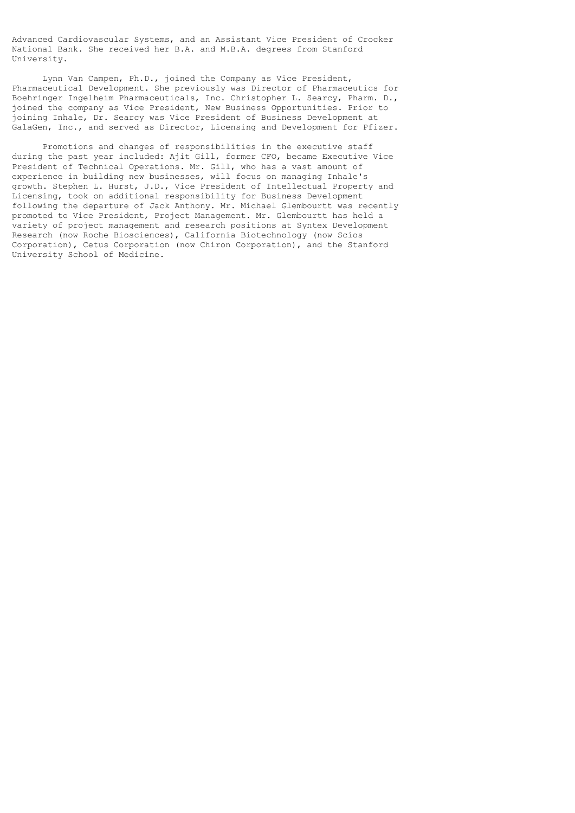Advanced Cardiovascular Systems, and an Assistant Vice President of Crocker National Bank. She received her B.A. and M.B.A. degrees from Stanford University.

 Lynn Van Campen, Ph.D., joined the Company as Vice President, Pharmaceutical Development. She previously was Director of Pharmaceutics for Boehringer Ingelheim Pharmaceuticals, Inc. Christopher L. Searcy, Pharm. D., joined the company as Vice President, New Business Opportunities. Prior to joining Inhale, Dr. Searcy was Vice President of Business Development at GalaGen, Inc., and served as Director, Licensing and Development for Pfizer.

 Promotions and changes of responsibilities in the executive staff during the past year included: Ajit Gill, former CFO, became Executive Vice President of Technical Operations. Mr. Gill, who has a vast amount of experience in building new businesses, will focus on managing Inhale's growth. Stephen L. Hurst, J.D., Vice President of Intellectual Property and Licensing, took on additional responsibility for Business Development following the departure of Jack Anthony. Mr. Michael Glembourtt was recently promoted to Vice President, Project Management. Mr. Glembourtt has held a variety of project management and research positions at Syntex Development Research (now Roche Biosciences), California Biotechnology (now Scios Corporation), Cetus Corporation (now Chiron Corporation), and the Stanford University School of Medicine.